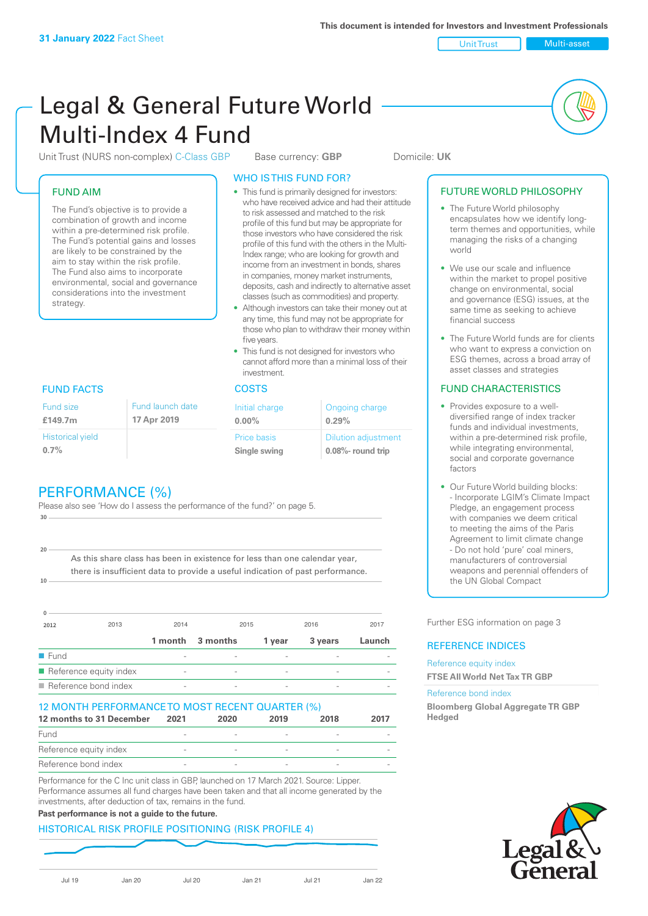Unit Trust Multi-asset

# Legal & General Future World Multi-Index 4 Fund

Unit Trust (NURS non-complex) C-Class GBP Base currency: **GBP** Domicile: UK

#### FUND AIM

The Fund's objective is to provide a combination of growth and income within a pre-determined risk profile. The Fund's potential gains and losses are likely to be constrained by the aim to stay within the risk profile. The Fund also aims to incorporate environmental, social and governance considerations into the investment strategy.

#### WHO IS THIS FUND FOR?

- This fund is primarily designed for investors: who have received advice and had their attitude to risk assessed and matched to the risk profile of this fund but may be appropriate for those investors who have considered the risk profile of this fund with the others in the Multi-Index range; who are looking for growth and income from an investment in bonds, shares in companies, money market instruments, deposits, cash and indirectly to alternative asset classes (such as commodities) and property.
- Although investors can take their money out at any time, this fund may not be appropriate for those who plan to withdraw their money within five years.
- This fund is not designed for investors who cannot afford more than a minimal loss of their investment.

| Fund launch date | Initial charge              | Ongoing charge                                      |  |
|------------------|-----------------------------|-----------------------------------------------------|--|
| 17 Apr 2019      | $0.00\%$                    | 0.29%                                               |  |
|                  | Price basis<br>Single swing | <b>Dilution adjustment</b><br>$0.08\%$ - round trip |  |

#### FUND FACTS COSTS

Historical yield **0.7%**

Fund size **£149.7m**

**10**

**20**

# PERFORMANCE (%)

Please also see 'How do I assess the performance of the fund?' on page 5. **30**

As this share class has been in existence for less than one calendar year, there is insufficient data to provide a useful indication of past performance.

| $\Omega$             |                        |                          |          |        |         |        |
|----------------------|------------------------|--------------------------|----------|--------|---------|--------|
| 2012                 | 2013                   | 2014                     | 2015     |        | 2016    | 2017   |
|                      |                        | 1 month                  | 3 months | 1 year | 3 years | Launch |
| $\blacksquare$ Fund  |                        |                          |          |        |         |        |
|                      | Reference equity index | $\overline{\phantom{a}}$ |          | -      |         |        |
| Reference bond index |                        | $\overline{\phantom{a}}$ |          |        |         |        |

#### 12 MONTH PERFORMANCE TO MOST RECENT QUARTER (%)

| 12 months to 31 December | 2021 | 2020 | 2019 | 2018 | 2017 |
|--------------------------|------|------|------|------|------|
| Fund                     |      |      |      |      |      |
| Reference equity index   |      |      |      |      |      |
| Reference bond index     |      |      |      |      |      |

Performance for the C Inc unit class in GBP, launched on 17 March 2021. Source: Lipper. Performance assumes all fund charges have been taken and that all income generated by the investments, after deduction of tax, remains in the fund.

#### **Past performance is not a guide to the future.**

#### HISTORICAL RISK PROFILE POSITIONING (RISK PROFILE 4)

Jul 19 Jan 20 Jul 20 Jan 21 Jul 21 Jan 22

#### FUTURE WORLD PHILOSOPHY

- The Future World philosophy encapsulates how we identify longterm themes and opportunities, while managing the risks of a changing world
- We use our scale and influence within the market to propel positive change on environmental, social and governance (ESG) issues, at the same time as seeking to achieve financial success
- The Future World funds are for clients who want to express a conviction on ESG themes, across a broad array of asset classes and strategies

#### FUND CHARACTERISTICS

- Provides exposure to a welldiversified range of index tracker funds and individual investments, within a pre-determined risk profile while integrating environmental, social and corporate governance factors
- Our Future World building blocks: - Incorporate LGIM's Climate Impact Pledge, an engagement process with companies we deem critical to meeting the aims of the Paris Agreement to limit climate change - Do not hold 'pure' coal miners, manufacturers of controversial weapons and perennial offenders of the UN Global Compact

Further ESG information on page 3

#### REFERENCE INDICES

Reference equity index **FTSE All World Net Tax TR GBP**

#### Reference bond index

**Bloomberg Global Aggregate TR GBP Hedged**

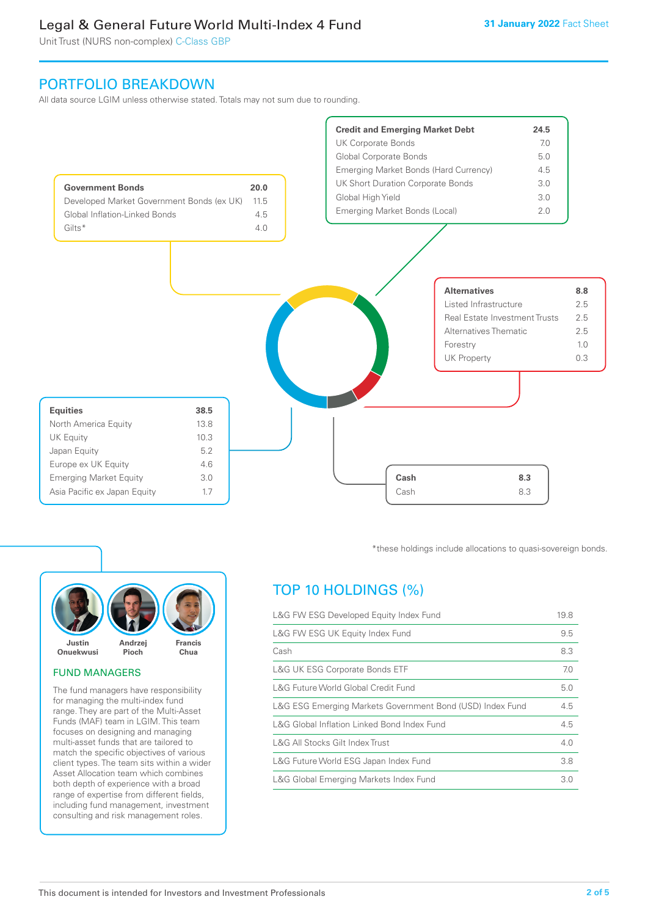Unit Trust (NURS non-complex) C-Class GBP

## PORTFOLIO BREAKDOWN

All data source LGIM unless otherwise stated. Totals may not sum due to rounding.





#### FUND MANAGERS

The fund managers have responsibility for managing the multi-index fund range. They are part of the Multi-Asset Funds (MAF) team in LGIM. This team focuses on designing and managing multi-asset funds that are tailored to match the specific objectives of various client types. The team sits within a wider Asset Allocation team which combines both depth of experience with a broad range of expertise from different fields, including fund management, investment consulting and risk management roles.

\*these holdings include allocations to quasi-sovereign bonds.

# TOP 10 HOLDINGS (%)

| L&G FW ESG Developed Equity Index Fund                    |     |
|-----------------------------------------------------------|-----|
| L&G FW ESG UK Equity Index Fund                           |     |
| Cash                                                      | 8.3 |
| <b>L&amp;G UK ESG Corporate Bonds ETF</b>                 | 7.0 |
| L&G Future World Global Credit Fund                       | 5.0 |
| L&G ESG Emerging Markets Government Bond (USD) Index Fund | 4.5 |
| L&G Global Inflation Linked Bond Index Fund               |     |
| L&G All Stocks Gilt Index Trust                           | 4.0 |
| L&G Future World ESG Japan Index Fund                     | 3.8 |
| L&G Global Emerging Markets Index Fund                    |     |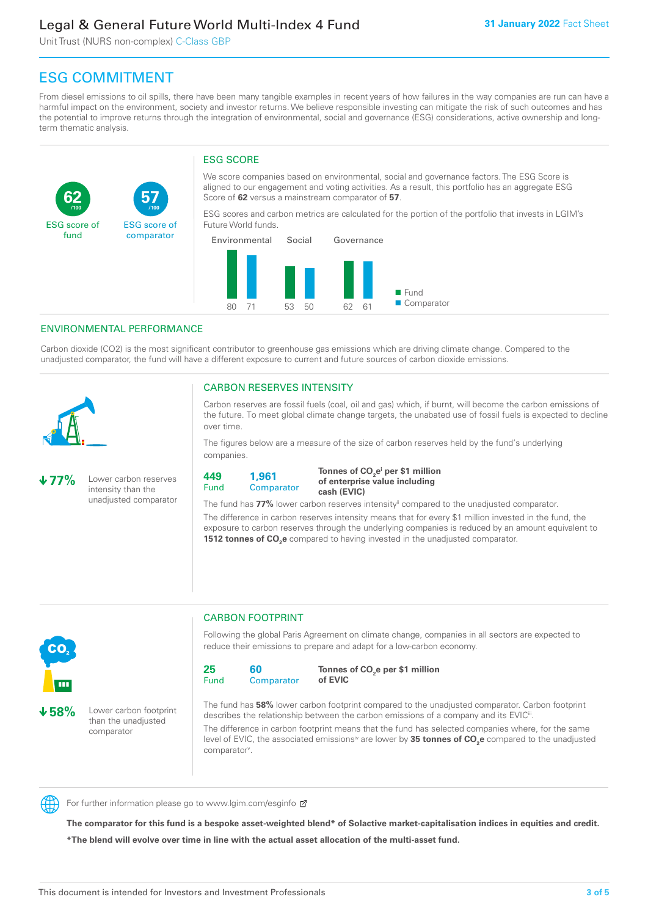Unit Trust (NURS non-complex) C-Class GBP

**57**

ESG score of comparator

# ESG COMMITMENT

From diesel emissions to oil spills, there have been many tangible examples in recent years of how failures in the way companies are run can have a harmful impact on the environment, society and investor returns. We believe responsible investing can mitigate the risk of such outcomes and has the potential to improve returns through the integration of environmental, social and governance (ESG) considerations, active ownership and longterm thematic analysis.

### ESG SCORE

We score companies based on environmental, social and governance factors. The ESG Score is aligned to our engagement and voting activities. As a result, this portfolio has an aggregate ESG Score of **62** versus a mainstream comparator of **57**.

ESG scores and carbon metrics are calculated for the portion of the portfolio that invests in LGIM's Future World funds.



#### ENVIRONMENTAL PERFORMANCE

**/100 /100**

Carbon dioxide (CO2) is the most significant contributor to greenhouse gas emissions which are driving climate change. Compared to the unadjusted comparator, the fund will have a different exposure to current and future sources of carbon dioxide emissions.



**62**

ESG score of fund

#### CARBON RESERVES INTENSITY

Carbon reserves are fossil fuels (coal, oil and gas) which, if burnt, will become the carbon emissions of the future. To meet global climate change targets, the unabated use of fossil fuels is expected to decline over time.

The figures below are a measure of the size of carbon reserves held by the fund's underlying companies.

**77%** Lower carbon reserves intensity than the unadjusted comparator

> than the unadjusted comparator



Tonnes of CO<sub>2</sub>e<sup>i</sup> per \$1 million **of enterprise value including cash (EVIC)**

The fund has 77% lower carbon reserves intensity<sup>ii</sup> compared to the unadjusted comparator.

The difference in carbon reserves intensity means that for every \$1 million invested in the fund, the exposure to carbon reserves through the underlying companies is reduced by an amount equivalent to **1512 tonnes of CO<sub>2</sub>e** compared to having invested in the unadjusted comparator.



Following the global Paris Agreement on climate change, companies in all sectors are expected to reduce their emissions to prepare and adapt for a low-carbon economy.



CARBON FOOTPRINT

**Tonnes of CO2 e per \$1 million of EVIC**

The fund has **58%** lower carbon footprint compared to the unadjusted comparator. Carbon footprint describes the relationship between the carbon emissions of a company and its EVIC<sup>ii</sup>.

The difference in carbon footprint means that the fund has selected companies where, for the same level of EVIC, the associated emissions<sup>iv</sup> are lower by **35 tonnes of CO<sub>2</sub>e** compared to the unadjusted comparator<sup>v</sup>.



For further information please go to www.lgim.com/esginfo Ø

**The comparator for this fund is a bespoke asset-weighted blend\* of Solactive market-capitalisation indices in equities and credit. \*The blend will evolve over time in line with the actual asset allocation of the multi-asset fund.**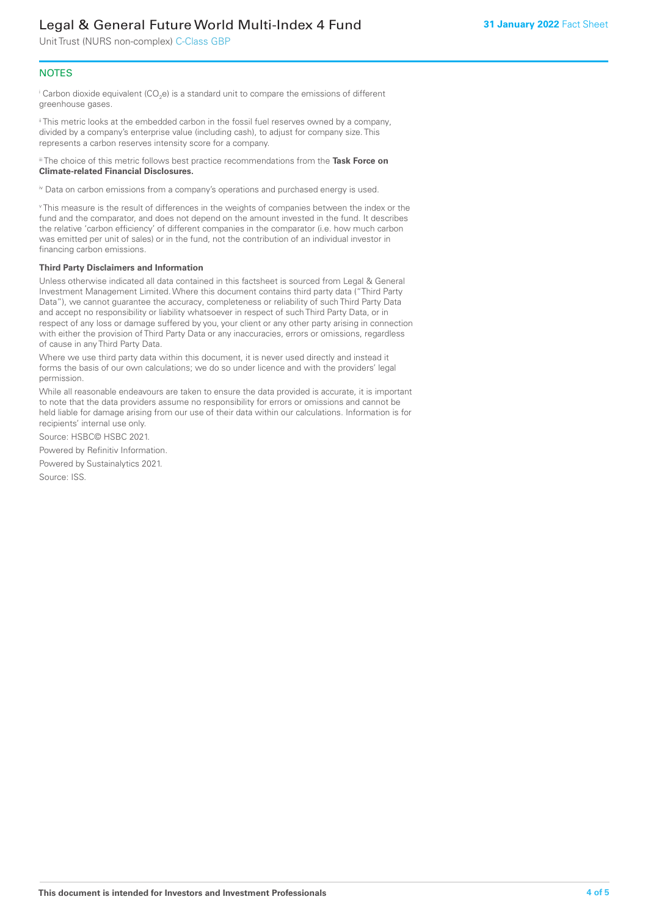Unit Trust (NURS non-complex) C-Class GBP

#### **NOTES**

 $^\mathrm{i}$  Carbon dioxide equivalent (CO<sub>2</sub>e) is a standard unit to compare the emissions of different greenhouse gases.

ii This metric looks at the embedded carbon in the fossil fuel reserves owned by a company, divided by a company's enterprise value (including cash), to adjust for company size. This represents a carbon reserves intensity score for a company.

iii The choice of this metric follows best practice recommendations from the **Task Force on Climate-related Financial Disclosures.**

iv Data on carbon emissions from a company's operations and purchased energy is used.

v This measure is the result of differences in the weights of companies between the index or the fund and the comparator, and does not depend on the amount invested in the fund. It describes the relative 'carbon efficiency' of different companies in the comparator (i.e. how much carbon was emitted per unit of sales) or in the fund, not the contribution of an individual investor in financing carbon emissions.

#### **Third Party Disclaimers and Information**

Unless otherwise indicated all data contained in this factsheet is sourced from Legal & General Investment Management Limited. Where this document contains third party data ("Third Party Data"), we cannot guarantee the accuracy, completeness or reliability of such Third Party Data and accept no responsibility or liability whatsoever in respect of such Third Party Data, or in respect of any loss or damage suffered by you, your client or any other party arising in connection with either the provision of Third Party Data or any inaccuracies, errors or omissions, regardless of cause in any Third Party Data.

Where we use third party data within this document, it is never used directly and instead it forms the basis of our own calculations; we do so under licence and with the providers' legal permission.

While all reasonable endeavours are taken to ensure the data provided is accurate, it is important to note that the data providers assume no responsibility for errors or omissions and cannot be held liable for damage arising from our use of their data within our calculations. Information is for recipients' internal use only.

Source: HSBC© HSBC 2021.

Powered by Refinitiv Information.

Powered by Sustainalytics 2021.

Source: ISS.